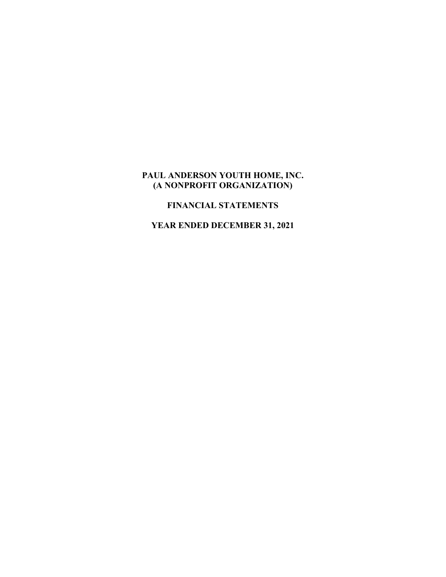# **PAUL ANDERSON YOUTH HOME, INC. (A NONPROFIT ORGANIZATION)**

# **FINANCIAL STATEMENTS**

**YEAR ENDED DECEMBER 31, 2021**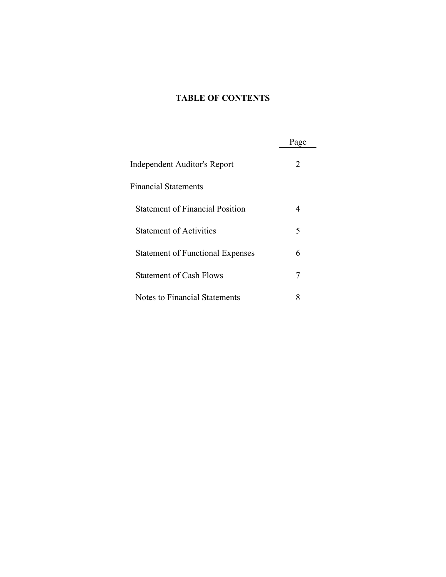# **TABLE OF CONTENTS**

|                                         | Page |
|-----------------------------------------|------|
| Independent Auditor's Report            | 2    |
| <b>Financial Statements</b>             |      |
| <b>Statement of Financial Position</b>  | 4    |
| <b>Statement of Activities</b>          | 5    |
| <b>Statement of Functional Expenses</b> | 6    |
| <b>Statement of Cash Flows</b>          | 7    |
| Notes to Financial Statements           | 8    |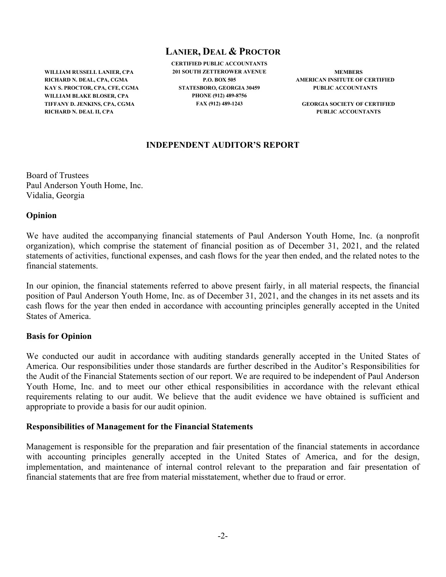# **LANIER, DEAL & PROCTOR**

**WILLIAM RUSSELL LANIER, CPA RICHARD N. DEAL, CPA, CGMA KAY S. PROCTOR, CPA, CFE, CGMA WILLIAM BLAKE BLOSER, CPA TIFFANY D. JENKINS, CPA, CGMA RICHARD N. DEAL II, CPA**

**CERTIFIED PUBLIC ACCOUNTANTS 201 SOUTH ZETTEROWER AVENUE P.O. BOX 505 STATESBORO, GEORGIA 30459 PHONE (912) 489-8756 FAX (912) 489-1243**

**MEMBERS AMERICAN INSITUTE OF CERTIFIED PUBLIC ACCOUNTANTS**

**GEORGIA SOCIETY OF CERTIFIED PUBLIC ACCOUNTANTS**

### **INDEPENDENT AUDITOR'S REPORT**

Board of Trustees Paul Anderson Youth Home, Inc. Vidalia, Georgia

#### **Opinion**

We have audited the accompanying financial statements of Paul Anderson Youth Home, Inc. (a nonprofit organization), which comprise the statement of financial position as of December 31, 2021, and the related statements of activities, functional expenses, and cash flows for the year then ended, and the related notes to the financial statements.

In our opinion, the financial statements referred to above present fairly, in all material respects, the financial position of Paul Anderson Youth Home, Inc. as of December 31, 2021, and the changes in its net assets and its cash flows for the year then ended in accordance with accounting principles generally accepted in the United States of America.

### **Basis for Opinion**

We conducted our audit in accordance with auditing standards generally accepted in the United States of America. Our responsibilities under those standards are further described in the Auditor's Responsibilities for the Audit of the Financial Statements section of our report. We are required to be independent of Paul Anderson Youth Home, Inc. and to meet our other ethical responsibilities in accordance with the relevant ethical requirements relating to our audit. We believe that the audit evidence we have obtained is sufficient and appropriate to provide a basis for our audit opinion.

### **Responsibilities of Management for the Financial Statements**

Management is responsible for the preparation and fair presentation of the financial statements in accordance with accounting principles generally accepted in the United States of America, and for the design, implementation, and maintenance of internal control relevant to the preparation and fair presentation of financial statements that are free from material misstatement, whether due to fraud or error.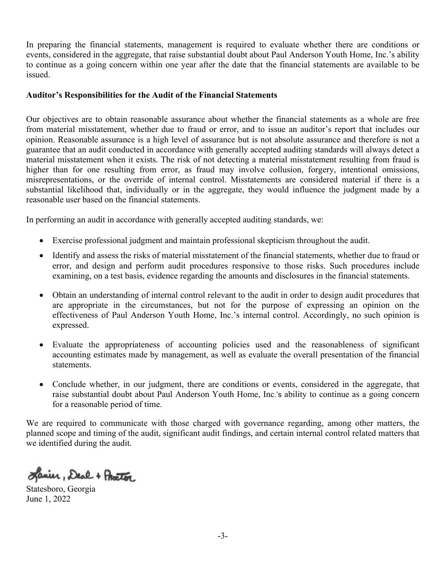In preparing the financial statements, management is required to evaluate whether there are conditions or events, considered in the aggregate, that raise substantial doubt about Paul Anderson Youth Home, Inc.'s ability to continue as a going concern within one year after the date that the financial statements are available to be issued.

#### **Auditor's Responsibilities for the Audit of the Financial Statements**

Our objectives are to obtain reasonable assurance about whether the financial statements as a whole are free from material misstatement, whether due to fraud or error, and to issue an auditor's report that includes our opinion. Reasonable assurance is a high level of assurance but is not absolute assurance and therefore is not a guarantee that an audit conducted in accordance with generally accepted auditing standards will always detect a material misstatement when it exists. The risk of not detecting a material misstatement resulting from fraud is higher than for one resulting from error, as fraud may involve collusion, forgery, intentional omissions, misrepresentations, or the override of internal control. Misstatements are considered material if there is a substantial likelihood that, individually or in the aggregate, they would influence the judgment made by a reasonable user based on the financial statements.

In performing an audit in accordance with generally accepted auditing standards, we:

- Exercise professional judgment and maintain professional skepticism throughout the audit.
- Identify and assess the risks of material misstatement of the financial statements, whether due to fraud or error, and design and perform audit procedures responsive to those risks. Such procedures include examining, on a test basis, evidence regarding the amounts and disclosures in the financial statements.
- Obtain an understanding of internal control relevant to the audit in order to design audit procedures that are appropriate in the circumstances, but not for the purpose of expressing an opinion on the effectiveness of Paul Anderson Youth Home, Inc.'s internal control. Accordingly, no such opinion is expressed.
- Evaluate the appropriateness of accounting policies used and the reasonableness of significant accounting estimates made by management, as well as evaluate the overall presentation of the financial statements.
- Conclude whether, in our judgment, there are conditions or events, considered in the aggregate, that raise substantial doubt about Paul Anderson Youth Home, Inc.'s ability to continue as a going concern for a reasonable period of time.

We are required to communicate with those charged with governance regarding, among other matters, the planned scope and timing of the audit, significant audit findings, and certain internal control related matters that we identified during the audit.

Janier, Deal + Practor

Statesboro, Georgia June 1, 2022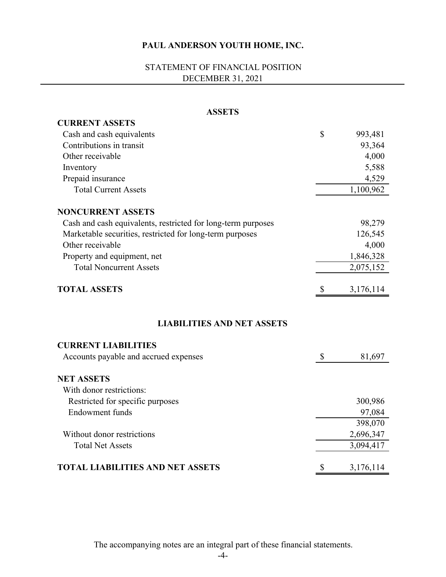# STATEMENT OF FINANCIAL POSITION DECEMBER 31, 2021

| <b>ASSETS</b>                                                |                           |           |
|--------------------------------------------------------------|---------------------------|-----------|
| <b>CURRENT ASSETS</b>                                        |                           |           |
| Cash and cash equivalents                                    | $\mathbb{S}$              | 993,481   |
| Contributions in transit                                     |                           | 93,364    |
| Other receivable                                             |                           | 4,000     |
| Inventory                                                    |                           | 5,588     |
| Prepaid insurance                                            |                           | 4,529     |
| <b>Total Current Assets</b>                                  |                           | 1,100,962 |
| <b>NONCURRENT ASSETS</b>                                     |                           |           |
| Cash and cash equivalents, restricted for long-term purposes |                           | 98,279    |
| Marketable securities, restricted for long-term purposes     |                           | 126,545   |
| Other receivable                                             |                           | 4,000     |
| Property and equipment, net                                  |                           | 1,846,328 |
| <b>Total Noncurrent Assets</b>                               |                           | 2,075,152 |
| <b>TOTAL ASSETS</b>                                          | $\boldsymbol{\mathsf{S}}$ | 3,176,114 |
| <b>LIABILITIES AND NET ASSETS</b>                            |                           |           |
| <b>CURRENT LIABILITIES</b>                                   |                           |           |
| Accounts payable and accrued expenses                        | \$                        | 81,697    |
| <b>NET ASSETS</b>                                            |                           |           |
| With donor restrictions:                                     |                           |           |
| Restricted for specific purposes                             |                           | 300,986   |
| <b>Endowment</b> funds                                       |                           | 97,084    |
|                                                              |                           | 398,070   |
| Without donor restrictions                                   |                           | 2,696,347 |
| <b>Total Net Assets</b>                                      |                           | 3,094,417 |
| <b>TOTAL LIABILITIES AND NET ASSETS</b>                      | \$                        | 3,176,114 |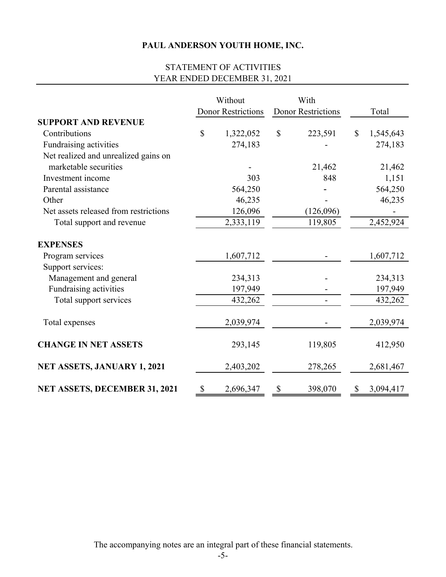# STATEMENT OF ACTIVITIES YEAR ENDED DECEMBER 31, 2021

|                                       | Without<br><b>Donor Restrictions</b> | With<br><b>Donor Restrictions</b> | Total           |
|---------------------------------------|--------------------------------------|-----------------------------------|-----------------|
| <b>SUPPORT AND REVENUE</b>            |                                      |                                   |                 |
| Contributions                         | \$<br>1,322,052                      | \$<br>223,591                     | \$<br>1,545,643 |
| Fundraising activities                | 274,183                              |                                   | 274,183         |
| Net realized and unrealized gains on  |                                      |                                   |                 |
| marketable securities                 |                                      | 21,462                            | 21,462          |
| Investment income                     | 303                                  | 848                               | 1,151           |
| Parental assistance                   | 564,250                              |                                   | 564,250         |
| Other                                 | 46,235                               |                                   | 46,235          |
| Net assets released from restrictions | 126,096                              | (126,096)                         |                 |
| Total support and revenue             | 2,333,119                            | 119,805                           | 2,452,924       |
| <b>EXPENSES</b>                       |                                      |                                   |                 |
| Program services                      | 1,607,712                            |                                   | 1,607,712       |
| Support services:                     |                                      |                                   |                 |
| Management and general                | 234,313                              |                                   | 234,313         |
| Fundraising activities                | 197,949                              |                                   | 197,949         |
| Total support services                | 432,262                              |                                   | 432,262         |
| Total expenses                        | 2,039,974                            |                                   | 2,039,974       |
| <b>CHANGE IN NET ASSETS</b>           | 293,145                              | 119,805                           | 412,950         |
| <b>NET ASSETS, JANUARY 1, 2021</b>    | 2,403,202                            | 278,265                           | 2,681,467       |
| <b>NET ASSETS, DECEMBER 31, 2021</b>  | \$<br>2,696,347                      | \$<br>398,070                     | \$<br>3,094,417 |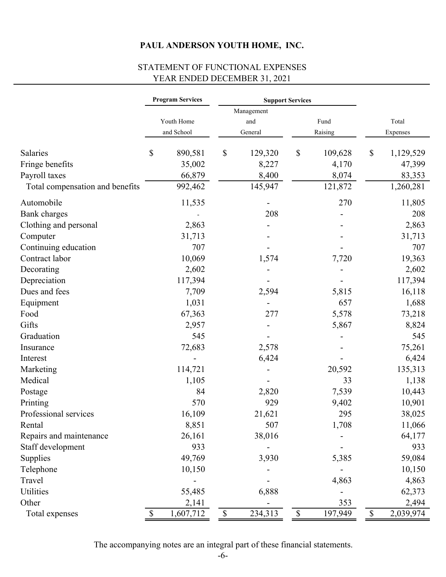# STATEMENT OF FUNCTIONAL EXPENSES YEAR ENDED DECEMBER 31, 2021

|                                 |              | <b>Program Services</b> |                           | <b>Support Services</b> |             |         |                           |           |
|---------------------------------|--------------|-------------------------|---------------------------|-------------------------|-------------|---------|---------------------------|-----------|
|                                 |              |                         |                           | Management              |             |         |                           |           |
|                                 |              | Youth Home              |                           | and                     |             | Fund    |                           | Total     |
|                                 |              | and School              |                           | General                 |             | Raising |                           | Expenses  |
| Salaries                        | \$           | 890,581                 | \$                        | 129,320                 | \$          | 109,628 | $\boldsymbol{\mathsf{S}}$ | 1,129,529 |
| Fringe benefits                 |              | 35,002                  |                           | 8,227                   |             | 4,170   |                           | 47,399    |
| Payroll taxes                   |              | 66,879                  |                           | 8,400                   |             | 8,074   |                           | 83,353    |
| Total compensation and benefits |              | 992,462                 |                           | 145,947                 |             | 121,872 |                           | 1,260,281 |
| Automobile                      |              | 11,535                  |                           |                         |             | 270     |                           | 11,805    |
| <b>Bank</b> charges             |              |                         |                           | 208                     |             |         |                           | 208       |
| Clothing and personal           |              | 2,863                   |                           |                         |             |         |                           | 2,863     |
| Computer                        |              | 31,713                  |                           |                         |             |         |                           | 31,713    |
| Continuing education            |              | 707                     |                           |                         |             |         |                           | 707       |
| Contract labor                  |              | 10,069                  |                           | 1,574                   |             | 7,720   |                           | 19,363    |
| Decorating                      |              | 2,602                   |                           |                         |             |         |                           | 2,602     |
| Depreciation                    |              | 117,394                 |                           |                         |             |         |                           | 117,394   |
| Dues and fees                   |              | 7,709                   |                           | 2,594                   |             | 5,815   |                           | 16,118    |
| Equipment                       |              | 1,031                   |                           |                         |             | 657     |                           | 1,688     |
| Food                            |              | 67,363                  |                           | 277                     |             | 5,578   |                           | 73,218    |
| Gifts                           |              | 2,957                   |                           |                         |             | 5,867   |                           | 8,824     |
| Graduation                      |              | 545                     |                           |                         |             |         |                           | 545       |
| Insurance                       |              | 72,683                  |                           | 2,578                   |             |         |                           | 75,261    |
| Interest                        |              |                         |                           | 6,424                   |             |         |                           | 6,424     |
| Marketing                       |              | 114,721                 |                           |                         |             | 20,592  |                           | 135,313   |
| Medical                         |              | 1,105                   |                           |                         |             | 33      |                           | 1,138     |
| Postage                         |              | 84                      |                           | 2,820                   |             | 7,539   |                           | 10,443    |
| Printing                        |              | 570                     |                           | 929                     |             | 9,402   |                           | 10,901    |
| Professional services           |              | 16,109                  |                           | 21,621                  |             | 295     |                           | 38,025    |
| Rental                          |              | 8,851                   |                           | 507                     |             | 1,708   |                           | 11,066    |
| Repairs and maintenance         |              | 26,161                  |                           | 38,016                  |             |         |                           | 64,177    |
| Staff development               |              | 933                     |                           |                         |             |         |                           | 933       |
| Supplies                        |              | 49,769                  |                           | 3,930                   |             | 5,385   |                           | 59,084    |
| Telephone                       |              | 10,150                  |                           |                         |             |         |                           | 10,150    |
| Travel                          |              |                         |                           |                         |             | 4,863   |                           | 4,863     |
| Utilities                       |              | 55,485                  |                           | 6,888                   |             |         |                           | 62,373    |
| Other                           |              | 2,141                   |                           |                         |             | 353     |                           | 2,494     |
| Total expenses                  | $\mathbb{S}$ | 1,607,712               | $\boldsymbol{\mathsf{S}}$ | 234,313                 | $\mathbb S$ | 197,949 | $\boldsymbol{\mathsf{S}}$ | 2,039,974 |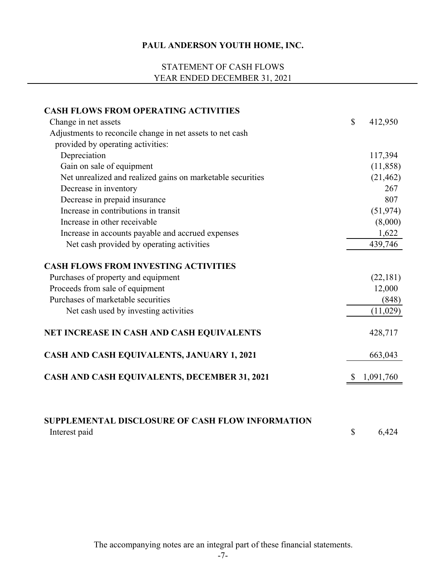# STATEMENT OF CASH FLOWS YEAR ENDED DECEMBER 31, 2021

| <b>CASH FLOWS FROM OPERATING ACTIVITIES</b>                              |                           |           |
|--------------------------------------------------------------------------|---------------------------|-----------|
| Change in net assets                                                     | $\boldsymbol{\mathsf{S}}$ | 412,950   |
| Adjustments to reconcile change in net assets to net cash                |                           |           |
| provided by operating activities:                                        |                           |           |
| Depreciation                                                             |                           | 117,394   |
| Gain on sale of equipment                                                |                           | (11,858)  |
| Net unrealized and realized gains on marketable securities               |                           | (21, 462) |
| Decrease in inventory                                                    |                           | 267       |
| Decrease in prepaid insurance                                            |                           | 807       |
| Increase in contributions in transit                                     |                           | (51, 974) |
| Increase in other receivable                                             |                           | (8,000)   |
| Increase in accounts payable and accrued expenses                        |                           | 1,622     |
| Net cash provided by operating activities                                |                           | 439,746   |
| <b>CASH FLOWS FROM INVESTING ACTIVITIES</b>                              |                           |           |
| Purchases of property and equipment                                      |                           | (22,181)  |
| Proceeds from sale of equipment                                          |                           | 12,000    |
| Purchases of marketable securities                                       |                           | (848)     |
| Net cash used by investing activities                                    |                           | (11,029)  |
| NET INCREASE IN CASH AND CASH EQUIVALENTS                                |                           | 428,717   |
| CASH AND CASH EQUIVALENTS, JANUARY 1, 2021                               |                           | 663,043   |
| CASH AND CASH EQUIVALENTS, DECEMBER 31, 2021                             |                           | 1,091,760 |
| <b>SUPPLEMENTAL DISCLOSURE OF CASH FLOW INFORMATION</b><br>Interest paid | \$                        | 6,424     |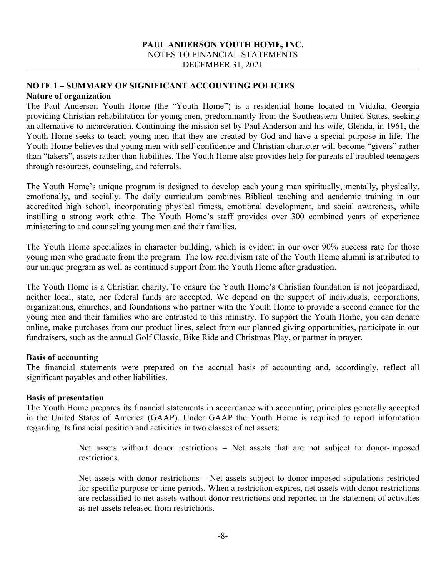### **PAUL ANDERSON YOUTH HOME, INC.**  NOTES TO FINANCIAL STATEMENTS DECEMBER 31, 2021

### **NOTE 1 – SUMMARY OF SIGNIFICANT ACCOUNTING POLICIES Nature of organization**

The Paul Anderson Youth Home (the "Youth Home") is a residential home located in Vidalia, Georgia providing Christian rehabilitation for young men, predominantly from the Southeastern United States, seeking an alternative to incarceration. Continuing the mission set by Paul Anderson and his wife, Glenda, in 1961, the Youth Home seeks to teach young men that they are created by God and have a special purpose in life. The Youth Home believes that young men with self-confidence and Christian character will become "givers" rather than "takers", assets rather than liabilities. The Youth Home also provides help for parents of troubled teenagers through resources, counseling, and referrals.

The Youth Home's unique program is designed to develop each young man spiritually, mentally, physically, emotionally, and socially. The daily curriculum combines Biblical teaching and academic training in our accredited high school, incorporating physical fitness, emotional development, and social awareness, while instilling a strong work ethic. The Youth Home's staff provides over 300 combined years of experience ministering to and counseling young men and their families.

The Youth Home specializes in character building, which is evident in our over 90% success rate for those young men who graduate from the program. The low recidivism rate of the Youth Home alumni is attributed to our unique program as well as continued support from the Youth Home after graduation.

The Youth Home is a Christian charity. To ensure the Youth Home's Christian foundation is not jeopardized, neither local, state, nor federal funds are accepted. We depend on the support of individuals, corporations, organizations, churches, and foundations who partner with the Youth Home to provide a second chance for the young men and their families who are entrusted to this ministry. To support the Youth Home, you can donate online, make purchases from our product lines, select from our planned giving opportunities, participate in our fundraisers, such as the annual Golf Classic, Bike Ride and Christmas Play, or partner in prayer.

### **Basis of accounting**

The financial statements were prepared on the accrual basis of accounting and, accordingly, reflect all significant payables and other liabilities.

### **Basis of presentation**

The Youth Home prepares its financial statements in accordance with accounting principles generally accepted in the United States of America (GAAP). Under GAAP the Youth Home is required to report information regarding its financial position and activities in two classes of net assets:

> Net assets without donor restrictions – Net assets that are not subject to donor-imposed restrictions.

> Net assets with donor restrictions – Net assets subject to donor-imposed stipulations restricted for specific purpose or time periods. When a restriction expires, net assets with donor restrictions are reclassified to net assets without donor restrictions and reported in the statement of activities as net assets released from restrictions.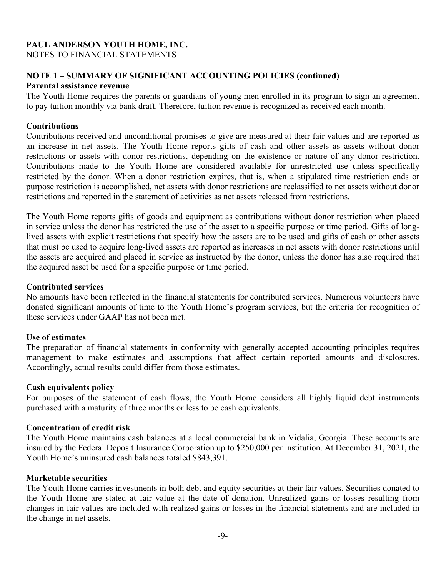## **NOTE 1 – SUMMARY OF SIGNIFICANT ACCOUNTING POLICIES (continued)**

### **Parental assistance revenue**

The Youth Home requires the parents or guardians of young men enrolled in its program to sign an agreement to pay tuition monthly via bank draft. Therefore, tuition revenue is recognized as received each month.

## **Contributions**

Contributions received and unconditional promises to give are measured at their fair values and are reported as an increase in net assets. The Youth Home reports gifts of cash and other assets as assets without donor restrictions or assets with donor restrictions, depending on the existence or nature of any donor restriction. Contributions made to the Youth Home are considered available for unrestricted use unless specifically restricted by the donor. When a donor restriction expires, that is, when a stipulated time restriction ends or purpose restriction is accomplished, net assets with donor restrictions are reclassified to net assets without donor restrictions and reported in the statement of activities as net assets released from restrictions.

The Youth Home reports gifts of goods and equipment as contributions without donor restriction when placed in service unless the donor has restricted the use of the asset to a specific purpose or time period. Gifts of longlived assets with explicit restrictions that specify how the assets are to be used and gifts of cash or other assets that must be used to acquire long-lived assets are reported as increases in net assets with donor restrictions until the assets are acquired and placed in service as instructed by the donor, unless the donor has also required that the acquired asset be used for a specific purpose or time period.

#### **Contributed services**

No amounts have been reflected in the financial statements for contributed services. Numerous volunteers have donated significant amounts of time to the Youth Home's program services, but the criteria for recognition of these services under GAAP has not been met.

### **Use of estimates**

The preparation of financial statements in conformity with generally accepted accounting principles requires management to make estimates and assumptions that affect certain reported amounts and disclosures. Accordingly, actual results could differ from those estimates.

### **Cash equivalents policy**

For purposes of the statement of cash flows, the Youth Home considers all highly liquid debt instruments purchased with a maturity of three months or less to be cash equivalents.

### **Concentration of credit risk**

The Youth Home maintains cash balances at a local commercial bank in Vidalia, Georgia. These accounts are insured by the Federal Deposit Insurance Corporation up to \$250,000 per institution. At December 31, 2021, the Youth Home's uninsured cash balances totaled \$843,391.

### **Marketable securities**

The Youth Home carries investments in both debt and equity securities at their fair values. Securities donated to the Youth Home are stated at fair value at the date of donation. Unrealized gains or losses resulting from changes in fair values are included with realized gains or losses in the financial statements and are included in the change in net assets.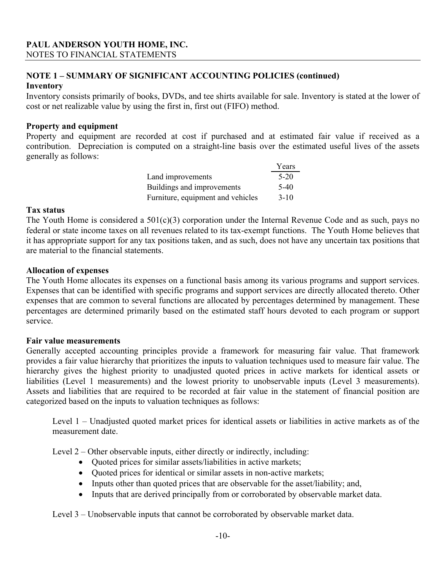### **NOTE 1 – SUMMARY OF SIGNIFICANT ACCOUNTING POLICIES (continued) Inventory**

Inventory consists primarily of books, DVDs, and tee shirts available for sale. Inventory is stated at the lower of cost or net realizable value by using the first in, first out (FIFO) method.

## **Property and equipment**

Property and equipment are recorded at cost if purchased and at estimated fair value if received as a contribution. Depreciation is computed on a straight-line basis over the estimated useful lives of the assets generally as follows:

|                                   | Years    |
|-----------------------------------|----------|
| Land improvements                 | $5-20$   |
| Buildings and improvements        | $5-40$   |
| Furniture, equipment and vehicles | $3 - 10$ |

#### **Tax status**

The Youth Home is considered a  $501(c)(3)$  corporation under the Internal Revenue Code and as such, pays no federal or state income taxes on all revenues related to its tax-exempt functions. The Youth Home believes that it has appropriate support for any tax positions taken, and as such, does not have any uncertain tax positions that are material to the financial statements.

### **Allocation of expenses**

The Youth Home allocates its expenses on a functional basis among its various programs and support services. Expenses that can be identified with specific programs and support services are directly allocated thereto. Other expenses that are common to several functions are allocated by percentages determined by management. These percentages are determined primarily based on the estimated staff hours devoted to each program or support service.

### **Fair value measurements**

Generally accepted accounting principles provide a framework for measuring fair value. That framework provides a fair value hierarchy that prioritizes the inputs to valuation techniques used to measure fair value. The hierarchy gives the highest priority to unadjusted quoted prices in active markets for identical assets or liabilities (Level 1 measurements) and the lowest priority to unobservable inputs (Level 3 measurements). Assets and liabilities that are required to be recorded at fair value in the statement of financial position are categorized based on the inputs to valuation techniques as follows:

Level 1 – Unadjusted quoted market prices for identical assets or liabilities in active markets as of the measurement date.

Level 2 – Other observable inputs, either directly or indirectly, including:

- Quoted prices for similar assets/liabilities in active markets;
- Quoted prices for identical or similar assets in non-active markets;
- Inputs other than quoted prices that are observable for the asset/liability; and,
- Inputs that are derived principally from or corroborated by observable market data.

Level 3 – Unobservable inputs that cannot be corroborated by observable market data.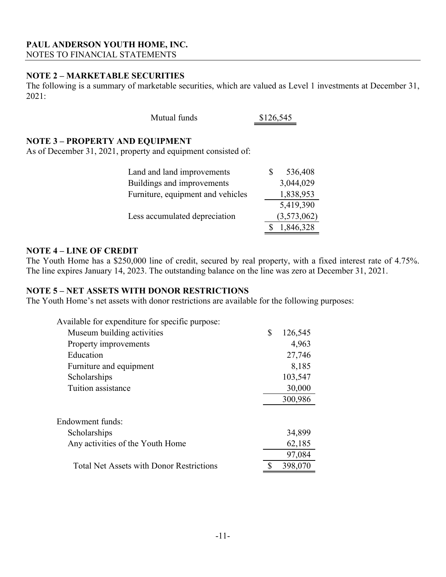## **NOTE 2 – MARKETABLE SECURITIES**

The following is a summary of marketable securities, which are valued as Level 1 investments at December 31, 2021:

| Mutual funds | \$126,545 |
|--------------|-----------|
|--------------|-----------|

### **NOTE 3 – PROPERTY AND EQUIPMENT**

As of December 31, 2021, property and equipment consisted of:

| Land and land improvements        | 536,408     |
|-----------------------------------|-------------|
| Buildings and improvements        | 3,044,029   |
| Furniture, equipment and vehicles | 1,838,953   |
|                                   | 5,419,390   |
| Less accumulated depreciation     | (3,573,062) |
|                                   | 1,846,328   |

### **NOTE 4 – LINE OF CREDIT**

The Youth Home has a \$250,000 line of credit, secured by real property, with a fixed interest rate of 4.75%. The line expires January 14, 2023. The outstanding balance on the line was zero at December 31, 2021.

### **NOTE 5 – NET ASSETS WITH DONOR RESTRICTIONS**

The Youth Home's net assets with donor restrictions are available for the following purposes:

| Available for expenditure for specific purpose: |               |
|-------------------------------------------------|---------------|
| Museum building activities                      | \$<br>126,545 |
| Property improvements                           | 4,963         |
| Education                                       | 27,746        |
| Furniture and equipment                         | 8,185         |
| Scholarships                                    | 103,547       |
| Tuition assistance                              | 30,000        |
|                                                 | 300,986       |
| Endowment funds:                                |               |
| Scholarships                                    | 34,899        |
| Any activities of the Youth Home                | 62,185        |
|                                                 | 97,084        |
| <b>Total Net Assets with Donor Restrictions</b> | 398,070       |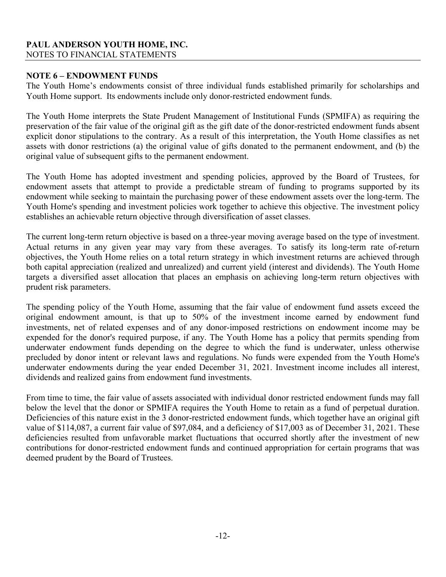### **PAUL ANDERSON YOUTH HOME, INC.**  NOTES TO FINANCIAL STATEMENTS

### **NOTE 6 – ENDOWMENT FUNDS**

The Youth Home's endowments consist of three individual funds established primarily for scholarships and Youth Home support. Its endowments include only donor-restricted endowment funds.

The Youth Home interprets the State Prudent Management of Institutional Funds (SPMIFA) as requiring the preservation of the fair value of the original gift as the gift date of the donor-restricted endowment funds absent explicit donor stipulations to the contrary. As a result of this interpretation, the Youth Home classifies as net assets with donor restrictions (a) the original value of gifts donated to the permanent endowment, and (b) the original value of subsequent gifts to the permanent endowment.

The Youth Home has adopted investment and spending policies, approved by the Board of Trustees, for endowment assets that attempt to provide a predictable stream of funding to programs supported by its endowment while seeking to maintain the purchasing power of these endowment assets over the long-term. The Youth Home's spending and investment policies work together to achieve this objective. The investment policy establishes an achievable return objective through diversification of asset classes.

The current long-term return objective is based on a three-year moving average based on the type of investment. Actual returns in any given year may vary from these averages. To satisfy its long-term rate of-return objectives, the Youth Home relies on a total return strategy in which investment returns are achieved through both capital appreciation (realized and unrealized) and current yield (interest and dividends). The Youth Home targets a diversified asset allocation that places an emphasis on achieving long-term return objectives with prudent risk parameters.

The spending policy of the Youth Home, assuming that the fair value of endowment fund assets exceed the original endowment amount, is that up to 50% of the investment income earned by endowment fund investments, net of related expenses and of any donor-imposed restrictions on endowment income may be expended for the donor's required purpose, if any. The Youth Home has a policy that permits spending from underwater endowment funds depending on the degree to which the fund is underwater, unless otherwise precluded by donor intent or relevant laws and regulations. No funds were expended from the Youth Home's underwater endowments during the year ended December 31, 2021. Investment income includes all interest, dividends and realized gains from endowment fund investments.

From time to time, the fair value of assets associated with individual donor restricted endowment funds may fall below the level that the donor or SPMIFA requires the Youth Home to retain as a fund of perpetual duration. Deficiencies of this nature exist in the 3 donor-restricted endowment funds, which together have an original gift value of \$114,087, a current fair value of \$97,084, and a deficiency of \$17,003 as of December 31, 2021. These deficiencies resulted from unfavorable market fluctuations that occurred shortly after the investment of new contributions for donor-restricted endowment funds and continued appropriation for certain programs that was deemed prudent by the Board of Trustees.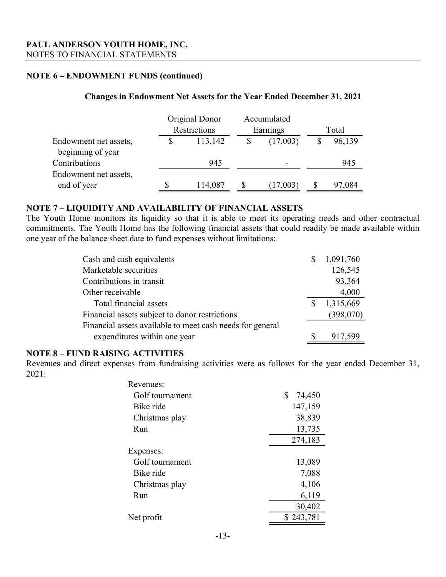### **NOTE 6 – ENDOWMENT FUNDS (continued)**

### **Changes in Endowment Net Assets for the Year Ended December 31, 2021**

|                                            | Original Donor | Accumulated              |        |
|--------------------------------------------|----------------|--------------------------|--------|
|                                            | Restrictions   | Earnings                 | Total  |
| Endowment net assets,<br>beginning of year | 113,142        | (17,003)                 | 96,139 |
| Contributions                              | 945            | $\overline{\phantom{0}}$ | 945    |
| Endowment net assets,                      |                |                          |        |
| end of year                                | 114,087        | (17,003)                 | 97,084 |

### **NOTE 7 – LIQUIDITY AND AVAILABILITY OF FINANCIAL ASSETS**

The Youth Home monitors its liquidity so that it is able to meet its operating needs and other contractual commitments. The Youth Home has the following financial assets that could readily be made available within one year of the balance sheet date to fund expenses without limitations:

| Cash and cash equivalents                                 | S | 1,091,760 |
|-----------------------------------------------------------|---|-----------|
| Marketable securities                                     |   | 126,545   |
| Contributions in transit                                  |   | 93,364    |
| Other receivable                                          |   | 4,000     |
| Total financial assets                                    | S | 1,315,669 |
| Financial assets subject to donor restrictions            |   | (398,070) |
| Financial assets available to meet cash needs for general |   |           |
| expenditures within one year                              |   | 917,599   |

### **NOTE 8 – FUND RAISING ACTIVITIES**

Revenues and direct expenses from fundraising activities were as follows for the year ended December 31, 2021:

| Revenues:       |              |
|-----------------|--------------|
| Golf tournament | \$<br>74,450 |
| Bike ride       | 147,159      |
| Christmas play  | 38,839       |
| Run             | 13,735       |
|                 | 274,183      |
| Expenses:       |              |
| Golf tournament | 13,089       |
| Bike ride       | 7,088        |
| Christmas play  | 4,106        |
| Run             | 6,119        |
|                 | 30,402       |
| Net profit      | \$243,781    |